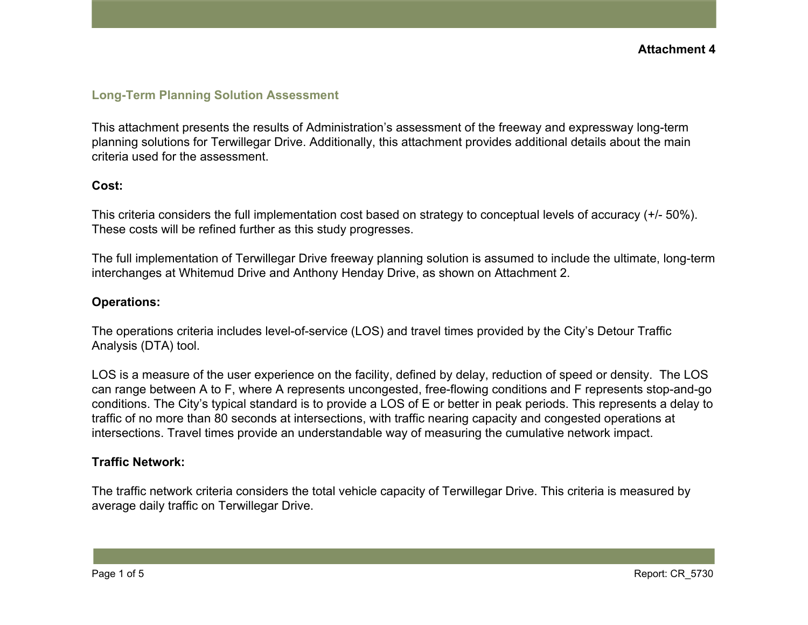## **Long-Term Planning Solution Assessment**

This attachment presents the results of Administration's assessment of the freeway and expressway long-term planning solutions for Terwillegar Drive. Additionally, this attachment provides additional details about the main criteria used for the assessment.

#### **Cost:**

This criteria considers the full implementation cost based on strategy to conceptual levels of accuracy (+/- 50%). These costs will be refined further as this study progresses.

The full implementation of Terwillegar Drive freeway planning solution is assumed to include the ultimate, long-term interchanges at Whitemud Drive and Anthony Henday Drive, as shown on Attachment 2.

#### **Operations:**

The operations criteria includes level-of-service (LOS) and travel times provided by the City's Detour Traffic Analysis (DTA) tool.

LOS is a measure of the user experience on the facility, defined by delay, reduction of speed or density. The LOS can range between A to F, where A represents uncongested, free-flowing conditions and F represents stop-and-go conditions. The City's typical standard is to provide a LOS of E or better in peak periods. This represents a delay to traffic of no more than 80 seconds at intersections, with traffic nearing capacity and congested operations at intersections. Travel times provide an understandable way of measuring the cumulative network impact.

## **Traffic Network:**

The traffic network criteria considers the total vehicle capacity of Terwillegar Drive. This criteria is measured by average daily traffic on Terwillegar Drive.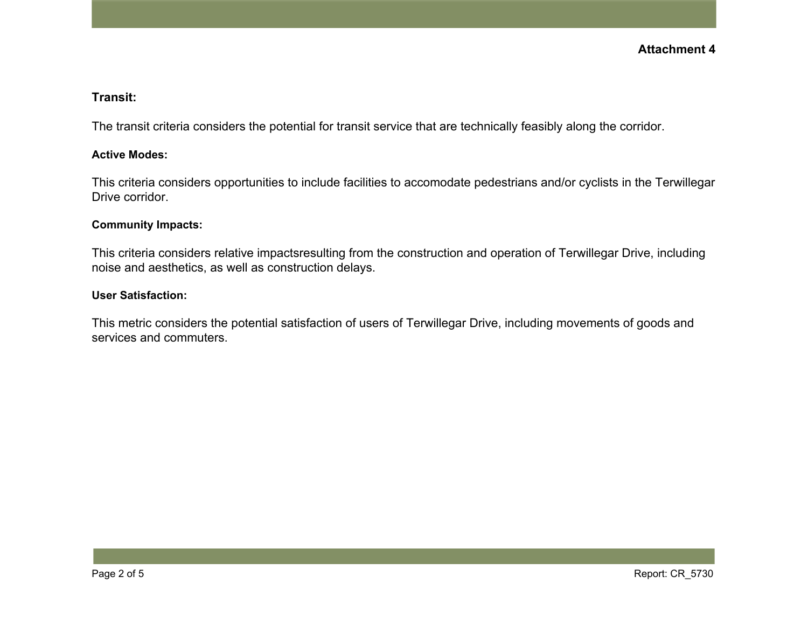#### **Transit:**

The transit criteria considers the potential for transit service that are technically feasibly along the corridor.

#### **Active Modes:**

This criteria considers opportunities to include facilities to accomodate pedestrians and/or cyclists in the Terwillegar Drive corridor.

#### **Community Impacts:**

This criteria considers relative impactsresulting from the construction and operation of Terwillegar Drive, including noise and aesthetics, as well as construction delays.

## **User Satisfaction:**

This metric considers the potential satisfaction of users of Terwillegar Drive, including movements of goods and services and commuters.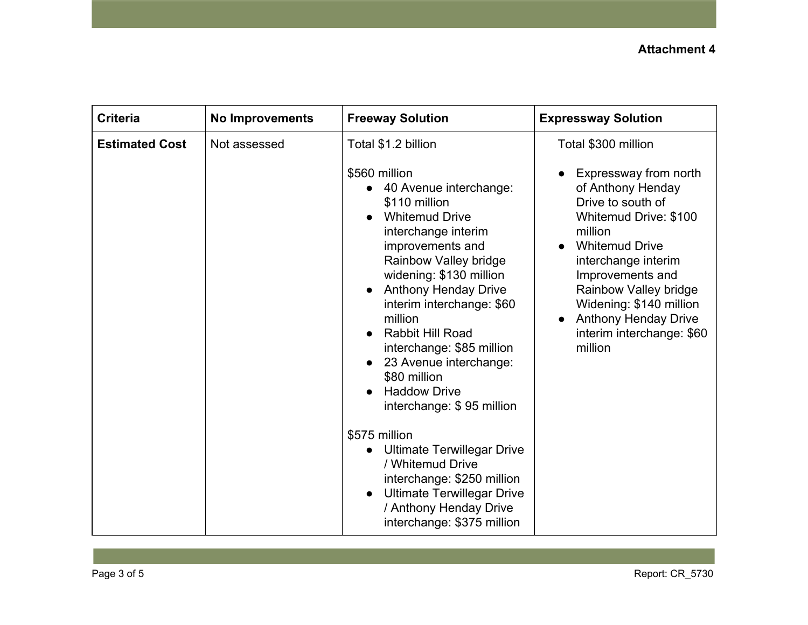| Total \$1.2 billion<br>Total \$300 million<br><b>Estimated Cost</b><br>Not assessed<br>\$560 million<br>Expressway from north<br>of Anthony Henday<br>40 Avenue interchange:<br>Drive to south of<br>\$110 million<br><b>Whitemud Drive</b><br>Whitemud Drive: \$100<br>interchange interim<br>million<br>improvements and<br><b>Whitemud Drive</b>                                                                                                                                                                                                                                              |
|--------------------------------------------------------------------------------------------------------------------------------------------------------------------------------------------------------------------------------------------------------------------------------------------------------------------------------------------------------------------------------------------------------------------------------------------------------------------------------------------------------------------------------------------------------------------------------------------------|
| Rainbow Valley bridge<br>interchange interim<br>widening: \$130 million<br>Improvements and<br><b>Anthony Henday Drive</b><br>Rainbow Valley bridge<br>Widening: \$140 million<br>interim interchange: \$60<br><b>Anthony Henday Drive</b><br>million<br><b>Rabbit Hill Road</b><br>interim interchange: \$60<br>million<br>interchange: \$85 million<br>23 Avenue interchange:<br>\$80 million<br><b>Haddow Drive</b><br>interchange: \$95 million<br>\$575 million<br><b>Ultimate Terwillegar Drive</b><br>/ Whitemud Drive<br>interchange: \$250 million<br><b>Ultimate Terwillegar Drive</b> |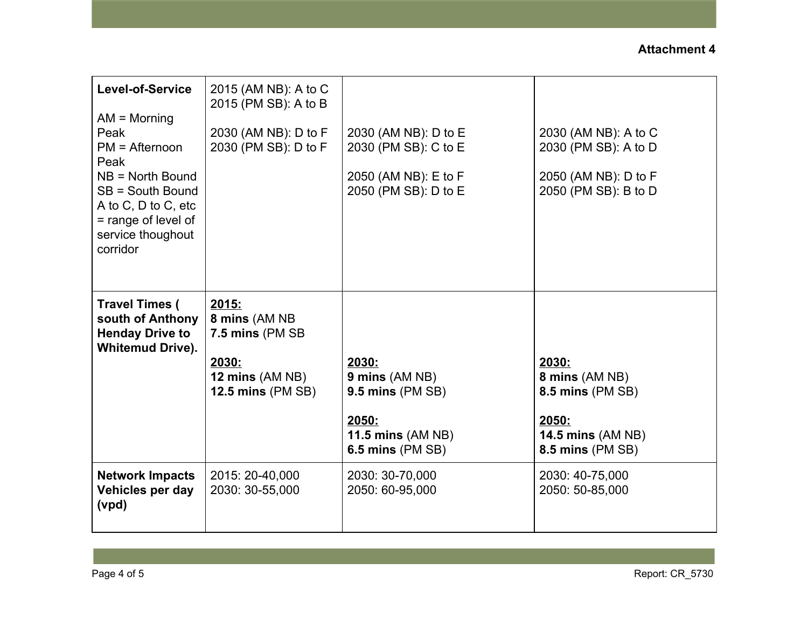| Level-of-Service<br>$AM = \text{Morning}$<br>Peak<br>$PM =$ Afternoon<br>Peak<br>$NB = North Bound$<br>SB = South Bound<br>A to C, D to C, etc<br>= range of level of<br>service thoughout<br>corridor | 2015 (AM NB): A to C<br>2015 (PM SB): A to B<br>2030 (AM NB): D to F<br>2030 (PM SB): D to F              | 2030 (AM NB): D to E<br>2030 (PM SB): C to E<br>2050 (AM NB): E to F<br>2050 (PM SB): D to E                          | 2030 (AM NB): A to C<br>2030 (PM SB): A to D<br>2050 (AM NB): D to F<br>2050 (PM SB): B to D                       |
|--------------------------------------------------------------------------------------------------------------------------------------------------------------------------------------------------------|-----------------------------------------------------------------------------------------------------------|-----------------------------------------------------------------------------------------------------------------------|--------------------------------------------------------------------------------------------------------------------|
| <b>Travel Times (</b><br>south of Anthony<br><b>Henday Drive to</b><br><b>Whitemud Drive).</b>                                                                                                         | <u> 2015:</u><br>8 mins (AM NB<br>7.5 mins (PM SB<br>2030:<br>12 mins (AM NB)<br><b>12.5 mins (PM SB)</b> | <u> 2030:</u><br>9 mins (AM NB)<br>$9.5$ mins (PM SB)<br>2050:<br><b>11.5 mins (AM NB)</b><br><b>6.5 mins (PM SB)</b> | 2030:<br>8 mins (AM NB)<br><b>8.5 mins (PM SB)</b><br>2050:<br><b>14.5 mins (AM NB)</b><br><b>8.5 mins (PM SB)</b> |
| <b>Network Impacts</b><br>Vehicles per day<br>(vpd)                                                                                                                                                    | 2015: 20-40,000<br>2030: 30-55,000                                                                        | 2030: 30-70,000<br>2050: 60-95,000                                                                                    | 2030: 40-75,000<br>2050: 50-85,000                                                                                 |